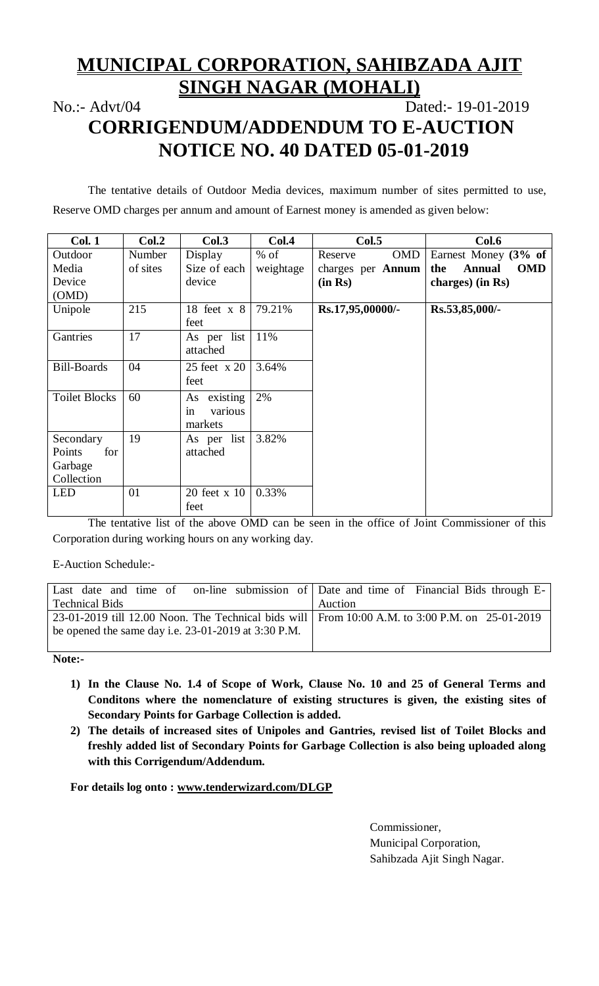# **MUNICIPAL CORPORATION, SAHIBZADA AJIT SINGH NAGAR (MOHALI)**

## No.:- Advt/04 Dated:- 19-01-2019 **CORRIGENDUM/ADDENDUM TO E-AUCTION NOTICE NO. 40 DATED 05-01-2019**

The tentative details of Outdoor Media devices, maximum number of sites permitted to use, Reserve OMD charges per annum and amount of Earnest money is amended as given below:

| Col. 1               | Col.2    | Col.3         | Col.4     | Col.5                    | Col.6                              |
|----------------------|----------|---------------|-----------|--------------------------|------------------------------------|
| Outdoor              | Number   | Display       | $%$ of    | <b>OMD</b><br>Reserve    | Earnest Money (3% of               |
| Media                | of sites | Size of each  | weightage | charges per <b>Annum</b> | the<br><b>Annual</b><br><b>OMD</b> |
| Device               |          | device        |           | (in Rs)                  | charges) (in Rs)                   |
| (OMD)                |          |               |           |                          |                                    |
| Unipole              | 215      | 18 feet $x$ 8 | 79.21%    | Rs.17,95,00000/-         | Rs.53,85,000/-                     |
|                      |          | feet          |           |                          |                                    |
| Gantries             | 17       | As per list   | 11%       |                          |                                    |
|                      |          | attached      |           |                          |                                    |
| <b>Bill-Boards</b>   | 04       | 25 feet x 20  | 3.64%     |                          |                                    |
|                      |          | feet          |           |                          |                                    |
| <b>Toilet Blocks</b> | 60       | As existing   | 2%        |                          |                                    |
|                      |          | in<br>various |           |                          |                                    |
|                      |          | markets       |           |                          |                                    |
| Secondary            | 19       | As per list   | 3.82%     |                          |                                    |
| Points<br>for        |          | attached      |           |                          |                                    |
| Garbage              |          |               |           |                          |                                    |
| Collection           |          |               |           |                          |                                    |
| <b>LED</b>           | 01       | 20 feet x 10  | 0.33%     |                          |                                    |
|                      |          | feet          |           |                          |                                    |

The tentative list of the above OMD can be seen in the office of Joint Commissioner of this Corporation during working hours on any working day.

E-Auction Schedule:-

| Last date and time of on-line submission of Date and time of Financial Bids through E-         |         |
|------------------------------------------------------------------------------------------------|---------|
| <b>Technical Bids</b>                                                                          | Auction |
| 23-01-2019 till 12.00 Noon. The Technical bids will From 10:00 A.M. to 3:00 P.M. on 25-01-2019 |         |
| be opened the same day i.e. $23-01-2019$ at $3:30$ P.M.                                        |         |
|                                                                                                |         |

**Note:-**

- **1) In the Clause No. 1.4 of Scope of Work, Clause No. 10 and 25 of General Terms and Conditons where the nomenclature of existing structures is given, the existing sites of Secondary Points for Garbage Collection is added.**
- **2) The details of increased sites of Unipoles and Gantries, revised list of Toilet Blocks and freshly added list of Secondary Points for Garbage Collection is also being uploaded along with this Corrigendum/Addendum.**

**For details log onto : www.tenderwizard.com/DLGP**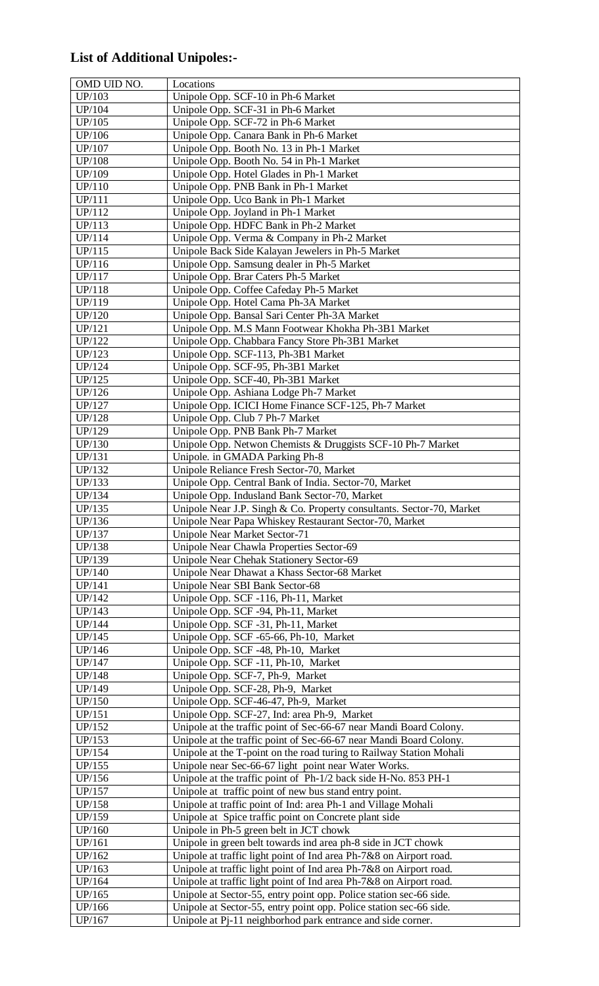## **List of Additional Unipoles:-**

| OMD UID NO.      | Locations                                                                                              |
|------------------|--------------------------------------------------------------------------------------------------------|
| UP/103           | Unipole Opp. SCF-10 in Ph-6 Market                                                                     |
| UP/104           | Unipole Opp. SCF-31 in Ph-6 Market                                                                     |
| UP/105           | Unipole Opp. SCF-72 in Ph-6 Market                                                                     |
| UP/106           | Unipole Opp. Canara Bank in Ph-6 Market                                                                |
| UP/107           | Unipole Opp. Booth No. 13 in Ph-1 Market                                                               |
| <b>UP/108</b>    | Unipole Opp. Booth No. 54 in Ph-1 Market                                                               |
| UP/109           | Unipole Opp. Hotel Glades in Ph-1 Market                                                               |
| UP/110           | Unipole Opp. PNB Bank in Ph-1 Market                                                                   |
| UP/111           | Unipole Opp. Uco Bank in Ph-1 Market                                                                   |
| UP/112           | Unipole Opp. Joyland in Ph-1 Market                                                                    |
| UP/113           | Unipole Opp. HDFC Bank in Ph-2 Market                                                                  |
| UP/114           | Unipole Opp. Verma & Company in Ph-2 Market                                                            |
| UP/115           | Unipole Back Side Kalayan Jewelers in Ph-5 Market                                                      |
| UP/116           | Unipole Opp. Samsung dealer in Ph-5 Market                                                             |
| UP/117           | Unipole Opp. Brar Caters Ph-5 Market                                                                   |
| UP/118           | Unipole Opp. Coffee Cafeday Ph-5 Market                                                                |
| UP/119           | Unipole Opp. Hotel Cama Ph-3A Market                                                                   |
| UP/120<br>UP/121 | Unipole Opp. Bansal Sari Center Ph-3A Market                                                           |
| UP/122           | Unipole Opp. M.S Mann Footwear Khokha Ph-3B1 Market<br>Unipole Opp. Chabbara Fancy Store Ph-3B1 Market |
| UP/123           | Unipole Opp. SCF-113, Ph-3B1 Market                                                                    |
| UP/124           | Unipole Opp. SCF-95, Ph-3B1 Market                                                                     |
| UP/125           | Unipole Opp. SCF-40, Ph-3B1 Market                                                                     |
| UP/126           | Unipole Opp. Ashiana Lodge Ph-7 Market                                                                 |
| UP/127           | Unipole Opp. ICICI Home Finance SCF-125, Ph-7 Market                                                   |
| UP/128           | Unipole Opp. Club 7 Ph-7 Market                                                                        |
| UP/129           | Unipole Opp. PNB Bank Ph-7 Market                                                                      |
| UP/130           | Unipole Opp. Netwon Chemists & Druggists SCF-10 Ph-7 Market                                            |
| UP/131           | Unipole. in GMADA Parking Ph-8                                                                         |
| UP/132           | Unipole Reliance Fresh Sector-70, Market                                                               |
| UP/133           | Unipole Opp. Central Bank of India. Sector-70, Market                                                  |
| UP/134           | Unipole Opp. Indusland Bank Sector-70, Market                                                          |
| UP/135           | Unipole Near J.P. Singh & Co. Property consultants. Sector-70, Market                                  |
| UP/136           | Unipole Near Papa Whiskey Restaurant Sector-70, Market                                                 |
| UP/137           | Unipole Near Market Sector-71                                                                          |
| UP/138           | Unipole Near Chawla Properties Sector-69                                                               |
| UP/139           | Unipole Near Chehak Stationery Sector-69                                                               |
| UP/140           | Unipole Near Dhawat a Khass Sector-68 Market                                                           |
| UP/141           | Unipole Near SBI Bank Sector-68                                                                        |
| UP/142           | Unipole Opp. SCF -116, Ph-11, Market                                                                   |
| UP/143           | Unipole Opp. SCF -94, Ph-11, Market                                                                    |
| UP/144<br>UP/145 | Unipole Opp. SCF -31, Ph-11, Market<br>Unipole Opp. SCF -65-66, Ph-10, Market                          |
| UP/146           | Unipole Opp. SCF -48, Ph-10, Market                                                                    |
| UP/147           | Unipole Opp. SCF -11, Ph-10, Market                                                                    |
| UP/148           | Unipole Opp. SCF-7, Ph-9, Market                                                                       |
| UP/149           | Unipole Opp. SCF-28, Ph-9, Market                                                                      |
| UP/150           | Unipole Opp. SCF-46-47, Ph-9, Market                                                                   |
| UP/151           | Unipole Opp. SCF-27, Ind: area Ph-9, Market                                                            |
| UP/152           | Unipole at the traffic point of Sec-66-67 near Mandi Board Colony.                                     |
| UP/153           | Unipole at the traffic point of Sec-66-67 near Mandi Board Colony.                                     |
| UP/154           | Unipole at the T-point on the road turing to Railway Station Mohali                                    |
| UP/155           | Unipole near Sec-66-67 light point near Water Works.                                                   |
| UP/156           | Unipole at the traffic point of Ph-1/2 back side H-No. 853 PH-1                                        |
| UP/157           | Unipole at traffic point of new bus stand entry point.                                                 |
| UP/158           | Unipole at traffic point of Ind: area Ph-1 and Village Mohali                                          |
| UP/159           | Unipole at Spice traffic point on Concrete plant side                                                  |
| UP/160           | Unipole in Ph-5 green belt in JCT chowk                                                                |
| UP/161           | Unipole in green belt towards ind area ph-8 side in JCT chowk                                          |
| UP/162           | Unipole at traffic light point of Ind area Ph-7&8 on Airport road.                                     |
| UP/163           | Unipole at traffic light point of Ind area Ph-7&8 on Airport road.                                     |
| UP/164           | Unipole at traffic light point of Ind area Ph-7&8 on Airport road.                                     |
| UP/165           | Unipole at Sector-55, entry point opp. Police station sec-66 side.                                     |
| UP/166           | Unipole at Sector-55, entry point opp. Police station sec-66 side.                                     |
| UP/167           | Unipole at Pj-11 neighborhod park entrance and side corner.                                            |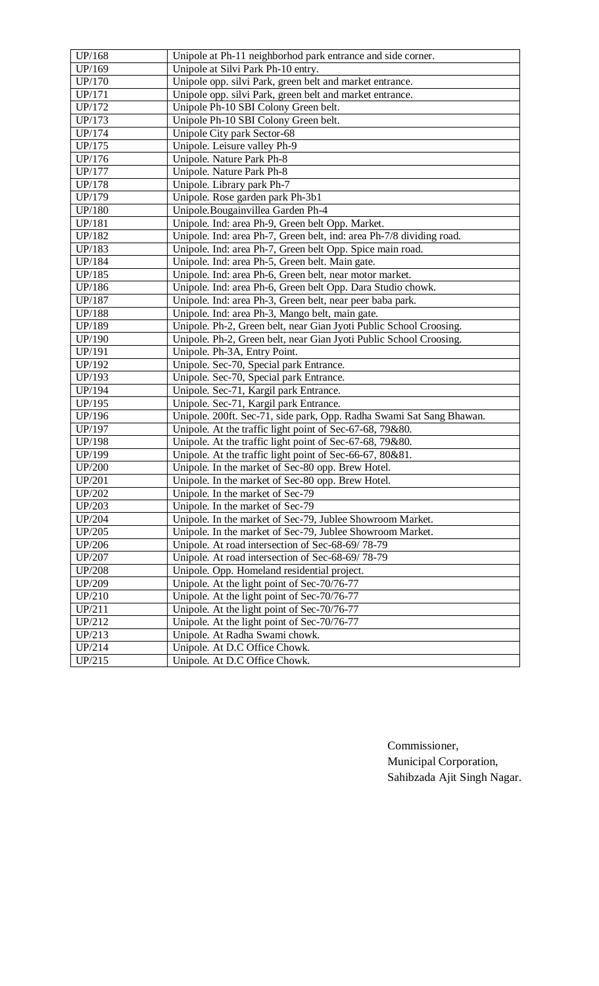| UP/168           | Unipole at Ph-11 neighborhod park entrance and side corner.          |
|------------------|----------------------------------------------------------------------|
| UP/169           | Unipole at Silvi Park Ph-10 entry.                                   |
| UP/170           | Unipole opp. silvi Park, green belt and market entrance.             |
| UP/171           | Unipole opp. silvi Park, green belt and market entrance.             |
| UP/172           | Unipole Ph-10 SBI Colony Green belt.                                 |
| UP/173           | Unipole Ph-10 SBI Colony Green belt.                                 |
| UP/174           | Unipole City park Sector-68                                          |
| UP/175           | Unipole. Leisure valley Ph-9                                         |
| UP/176           | Unipole. Nature Park Ph-8                                            |
| UP/177           | Unipole. Nature Park Ph-8                                            |
| UP/178           | Unipole. Library park Ph-7                                           |
| UP/179           | Unipole. Rose garden park Ph-3b1                                     |
| UP/180           | Unipole. Bougainvillea Garden Ph-4                                   |
| UP/181           | Unipole. Ind: area Ph-9, Green belt Opp. Market.                     |
| UP/182           | Unipole. Ind: area Ph-7, Green belt, ind: area Ph-7/8 dividing road. |
| UP/183           | Unipole. Ind: area Ph-7, Green belt Opp. Spice main road.            |
| UP/184           | Unipole. Ind: area Ph-5, Green belt. Main gate.                      |
| UP/185           | Unipole. Ind: area Ph-6, Green belt, near motor market.              |
| UP/186           | Unipole. Ind: area Ph-6, Green belt Opp. Dara Studio chowk.          |
|                  | Unipole. Ind: area Ph-3, Green belt, near peer baba park.            |
| UP/187<br>UP/188 | Unipole. Ind: area Ph-3, Mango belt, main gate.                      |
|                  |                                                                      |
| UP/189           | Unipole. Ph-2, Green belt, near Gian Jyoti Public School Croosing.   |
| UP/190           | Unipole. Ph-2, Green belt, near Gian Jyoti Public School Croosing.   |
| UP/191           | Unipole. Ph-3A, Entry Point.                                         |
| UP/192           | Unipole. Sec-70, Special park Entrance.                              |
| UP/193           | Unipole. Sec-70, Special park Entrance.                              |
| UP/194           | Unipole. Sec-71, Kargil park Entrance.                               |
| UP/195           | Unipole. Sec-71, Kargil park Entrance.                               |
| UP/196           | Unipole. 200ft. Sec-71, side park, Opp. Radha Swami Sat Sang Bhawan. |
| UP/197           | Unipole. At the traffic light point of Sec-67-68, 79&80.             |
| UP/198           | Unipole. At the traffic light point of Sec-67-68, 79&80.             |
| UP/199           | Unipole. At the traffic light point of Sec-66-67, 80&81.             |
| <b>UP/200</b>    | Unipole. In the market of Sec-80 opp. Brew Hotel.                    |
| UP/201           | Unipole. In the market of Sec-80 opp. Brew Hotel.                    |
| UP/202           | Unipole. In the market of Sec-79                                     |
| UP/203           | Unipole. In the market of Sec-79                                     |
| UP/204           | Unipole. In the market of Sec-79, Jublee Showroom Market.            |
| UP/205           | Unipole. In the market of Sec-79, Jublee Showroom Market.            |
| UP/206           | Unipole. At road intersection of Sec-68-69/78-79                     |
| UP/207           | Unipole. At road intersection of Sec-68-69/78-79                     |
| <b>UP/208</b>    | Unipole. Opp. Homeland residential project.                          |
| UP/209           | Unipole. At the light point of Sec-70/76-77                          |
| UP/210           | Unipole. At the light point of Sec-70/76-77                          |
| UP/211           | Unipole. At the light point of Sec-70/76-77                          |
| UP/212           | Unipole. At the light point of Sec-70/76-77                          |
| UP/213           | Unipole. At Radha Swami chowk.                                       |
| UP/214           | Unipole. At D.C Office Chowk.                                        |
| UP/215           | Unipole. At D.C Office Chowk.                                        |
|                  |                                                                      |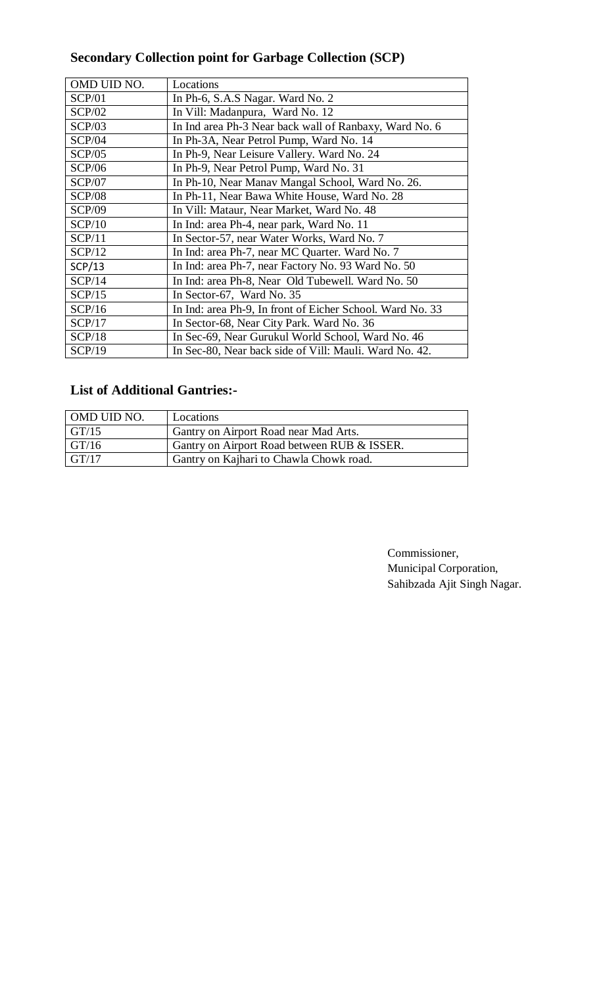## **Secondary Collection point for Garbage Collection (SCP)**

| OMD UID NO.   | Locations                                                 |
|---------------|-----------------------------------------------------------|
| SCP/01        | In Ph-6, S.A.S Nagar. Ward No. 2                          |
| SCP/02        | In Vill: Madanpura, Ward No. 12                           |
| SCP/03        | In Ind area Ph-3 Near back wall of Ranbaxy, Ward No. 6    |
| SCP/04        | In Ph-3A, Near Petrol Pump, Ward No. 14                   |
| SCP/05        | In Ph-9, Near Leisure Vallery. Ward No. 24                |
| SCP/06        | In Ph-9, Near Petrol Pump, Ward No. 31                    |
| <b>SCP/07</b> | In Ph-10, Near Manav Mangal School, Ward No. 26.          |
| <b>SCP/08</b> | In Ph-11, Near Bawa White House, Ward No. 28              |
| <b>SCP/09</b> | In Vill: Mataur, Near Market, Ward No. 48                 |
| SCP/10        | In Ind: area Ph-4, near park, Ward No. 11                 |
| SCP/11        | In Sector-57, near Water Works, Ward No. 7                |
| SCP/12        | In Ind: area Ph-7, near MC Quarter. Ward No. 7            |
| SCP/13        | In Ind: area Ph-7, near Factory No. 93 Ward No. 50        |
| SCP/14        | In Ind: area Ph-8, Near Old Tubewell. Ward No. 50         |
| SCP/15        | In Sector-67, Ward No. 35                                 |
| SCP/16        | In Ind: area Ph-9, In front of Eicher School. Ward No. 33 |
| SCP/17        | In Sector-68, Near City Park. Ward No. 36                 |
| SCP/18        | In Sec-69, Near Gurukul World School, Ward No. 46         |
| SCP/19        | In Sec-80, Near back side of Vill: Mauli. Ward No. 42.    |

#### **List of Additional Gantries:-**

| OMD UID NO. | Locations                                   |
|-------------|---------------------------------------------|
| GT/15       | Gantry on Airport Road near Mad Arts.       |
| GT/16       | Gantry on Airport Road between RUB & ISSER. |
| GT/17       | Gantry on Kajhari to Chawla Chowk road.     |